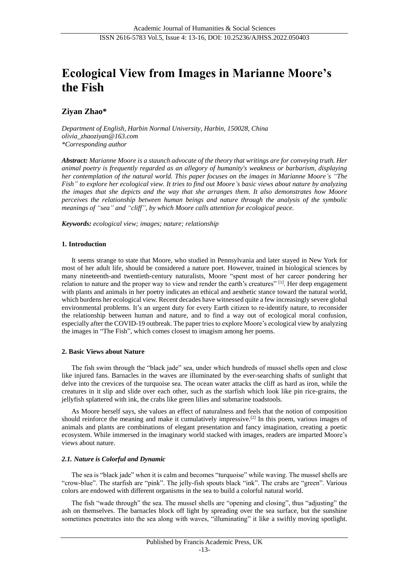# **Ecological View from Images in Marianne Moore's the Fish**

# **Ziyan Zhao\***

*Department of English, Harbin Normal University, Harbin, 150028, China olivia\_zhaoziyan@163.com \*Corresponding author*

*Abstract: Marianne Moore is a staunch advocate of the theory that writings are for conveying truth. Her animal poetry is frequently regarded as an allegory of humanity's weakness or barbarism, displaying her contemplation of the natural world. This paper focuses on the images in Marianne Moore's "The Fish" to explore her ecological view. It tries to find out Moore's basic views about nature by analyzing the images that she depicts and the way that she arranges them. It also demonstrates how Moore perceives the relationship between human beings and nature through the analysis of the symbolic meanings of "sea" and "cliff", by which Moore calls attention for ecological peace.*

*Keywords: ecological view; images; nature; relationship*

## **1. Introduction**

It seems strange to state that Moore, who studied in Pennsylvania and later stayed in New York for most of her adult life, should be considered a nature poet. However, trained in biological sciences by many nineteenth-and twentieth-century naturalists, Moore "spent most of her career pondering her relation to nature and the proper way to view and render the earth's creatures" [1]. Her deep engagement with plants and animals in her poetry indicates an ethical and aesthetic stance toward the natural world, which burdens her ecological view. Recent decades have witnessed quite a few increasingly severe global environmental problems. It's an urgent duty for every Earth citizen to re-identify nature, to reconsider the relationship between human and nature, and to find a way out of ecological moral confusion, especially after the COVID-19 outbreak. The paper tries to explore Moore's ecological view by analyzing the images in "The Fish", which comes closest to imagism among her poems.

## **2. Basic Views about Nature**

The fish swim through the "black jade" sea, under which hundreds of mussel shells open and close like injured fans. Barnacles in the waves are illuminated by the ever-searching shafts of sunlight that delve into the crevices of the turquoise sea. The ocean water attacks the cliff as hard as iron, while the creatures in it slip and slide over each other, such as the starfish which look like pin rice-grains, the jellyfish splattered with ink, the crabs like green lilies and submarine toadstools.

As Moore herself says, she values an effect of naturalness and feels that the notion of composition should reinforce the meaning and make it cumulatively impressive.[2] In this poem, various images of animals and plants are combinations of elegant presentation and fancy imagination, creating a poetic ecosystem. While immersed in the imaginary world stacked with images, readers are imparted Moore's views about nature.

## *2.1. Nature is Colorful and Dynamic*

The sea is "black jade" when it is calm and becomes "turquoise" while waving. The mussel shells are "crow-blue". The starfish are "pink". The jelly-fish spouts black "ink". The crabs are "green". Various colors are endowed with different organisms in the sea to build a colorful natural world.

The fish "wade through" the sea. The mussel shells are "opening and closing", thus "adjusting" the ash on themselves. The barnacles block off light by spreading over the sea surface, but the sunshine sometimes penetrates into the sea along with waves, "illuminating" it like a swiftly moving spotlight.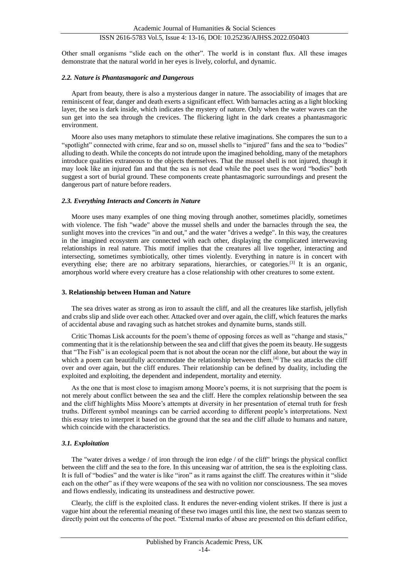# ISSN 2616-5783 Vol.5, Issue 4: 13-16, DOI: 10.25236/AJHSS.2022.050403

Other small organisms "slide each on the other". The world is in constant flux. All these images demonstrate that the natural world in her eyes is lively, colorful, and dynamic.

#### *2.2. Nature is Phantasmagoric and Dangerous*

Apart from beauty, there is also a mysterious danger in nature. The associability of images that are reminiscent of fear, danger and death exerts a significant effect. With barnacles acting as a light blocking layer, the sea is dark inside, which indicates the mystery of nature. Only when the water waves can the sun get into the sea through the crevices. The flickering light in the dark creates a phantasmagoric environment.

Moore also uses many metaphors to stimulate these relative imaginations. She compares the sun to a "spotlight" connected with crime, fear and so on, mussel shells to "injured" fans and the sea to "bodies" alluding to death. While the concepts do not intrude upon the imagined beholding, many of the metaphors introduce qualities extraneous to the objects themselves. That the mussel shell is not injured, though it may look like an injured fan and that the sea is not dead while the poet uses the word "bodies" both suggest a sort of burial ground. These components create phantasmagoric surroundings and present the dangerous part of nature before readers.

#### *2.3. Everything Interacts and Concerts in Nature*

Moore uses many examples of one thing moving through another, sometimes placidly, sometimes with violence. The fish "wade" above the mussel shells and under the barnacles through the sea, the sunlight moves into the crevices "in and out," and the water "drives a wedge". In this way, the creatures in the imagined ecosystem are connected with each other, displaying the complicated interweaving relationships in real nature. This motif implies that the creatures all live together, interacting and intersecting, sometimes symbiotically, other times violently. Everything in nature is in concert with everything else; there are no arbitrary separations, hierarchies, or categories.<sup>[3]</sup> It is an organic, amorphous world where every creature has a close relationship with other creatures to some extent.

#### **3. Relationship between Human and Nature**

The sea drives water as strong as iron to assault the cliff, and all the creatures like starfish, jellyfish and crabs slip and slide over each other. Attacked over and over again, the cliff, which features the marks of accidental abuse and ravaging such as hatchet strokes and dynamite burns, stands still.

Critic Thomas Lisk accounts for the poem's theme of opposing forces as well as "change and stasis," commenting that it is the relationship between the sea and cliff that gives the poem its beauty. He suggests that "The Fish" is an ecological poem that is not about the ocean nor the cliff alone, but about the way in which a poem can beautifully accommodate the relationship between them.<sup>[4]</sup> The sea attacks the cliff over and over again, but the cliff endures. Their relationship can be defined by duality, including the exploited and exploiting, the dependent and independent, mortality and eternity.

As the one that is most close to imagism among Moore's poems, it is not surprising that the poem is not merely about conflict between the sea and the cliff. Here the complex relationship between the sea and the cliff highlights Miss Moore's attempts at diversity in her presentation of eternal truth for fresh truths. Different symbol meanings can be carried according to different people's interpretations. Next this essay tries to interpret it based on the ground that the sea and the cliff allude to humans and nature, which coincide with the characteristics.

#### *3.1. Exploitation*

The "water drives a wedge / of iron through the iron edge / of the cliff" brings the physical conflict between the cliff and the sea to the fore. In this unceasing war of attrition, the sea is the exploiting class. It is full of "bodies" and the water is like "iron" as it rams against the cliff. The creatures within it "slide each on the other" as if they were weapons of the sea with no volition nor consciousness. The sea moves and flows endlessly, indicating its unsteadiness and destructive power.

Clearly, the cliff is the exploited class. It endures the never-ending violent strikes. If there is just a vague hint about the referential meaning of these two images until this line, the next two stanzas seem to directly point out the concerns of the poet. "External marks of abuse are presented on this defiant edifice,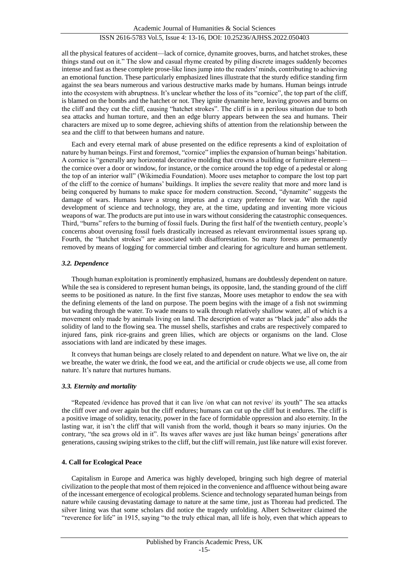all the physical features of accident—lack of cornice, dynamite grooves, burns, and hatchet strokes, these things stand out on it." The slow and casual rhyme created by piling discrete images suddenly becomes intense and fast as these complete prose-like lines jump into the readers' minds, contributing to achieving an emotional function. These particularly emphasized lines illustrate that the sturdy edifice standing firm against the sea bears numerous and various destructive marks made by humans. Human beings intrude into the ecosystem with abruptness. It's unclear whether the loss of its "cornice", the top part of the cliff, is blamed on the bombs and the hatchet or not. They ignite dynamite here, leaving grooves and burns on the cliff and they cut the cliff, causing "hatchet strokes". The cliff is in a perilous situation due to both sea attacks and human torture, and then an edge blurry appears between the sea and humans. Their characters are mixed up to some degree, achieving shifts of attention from the relationship between the sea and the cliff to that between humans and nature.

Each and every eternal mark of abuse presented on the edifice represents a kind of exploitation of nature by human beings. First and foremost, "cornice" implies the expansion of human beings' habitation. A cornice is "generally any horizontal decorative molding that crowns a building or furniture element the cornice over a door or window, for instance, or the cornice around the top edge of a pedestal or along the top of an interior wall" (Wikimedia Foundation). Moore uses metaphor to compare the lost top part of the cliff to the cornice of humans' buildings. It implies the severe reality that more and more land is being conquered by humans to make space for modern construction. Second, "dynamite" suggests the damage of wars. Humans have a strong impetus and a crazy preference for war. With the rapid development of science and technology, they are, at the time, updating and inventing more vicious weapons of war. The products are put into use in wars without considering the catastrophic consequences. Third, "burns" refers to the burning of fossil fuels. During the first half of the twentieth century, people's concerns about overusing fossil fuels drastically increased as relevant environmental issues sprang up. Fourth, the "hatchet strokes" are associated with disafforestation. So many forests are permanently removed by means of logging for commercial timber and clearing for agriculture and human settlement.

## *3.2. Dependence*

Though human exploitation is prominently emphasized, humans are doubtlessly dependent on nature. While the sea is considered to represent human beings, its opposite, land, the standing ground of the cliff seems to be positioned as nature. In the first five stanzas, Moore uses metaphor to endow the sea with the defining elements of the land on purpose. The poem begins with the image of a fish not swimming but wading through the water. To wade means to walk through relatively shallow water, all of which is a movement only made by animals living on land. The description of water as "black jade" also adds the solidity of land to the flowing sea. The mussel shells, starfishes and crabs are respectively compared to injured fans, pink rice-grains and green lilies, which are objects or organisms on the land. Close associations with land are indicated by these images.

It conveys that human beings are closely related to and dependent on nature. What we live on, the air we breathe, the water we drink, the food we eat, and the artificial or crude objects we use, all come from nature. It's nature that nurtures humans.

## *3.3. Eternity and mortality*

"Repeated /evidence has proved that it can live /on what can not revive/ its youth" The sea attacks the cliff over and over again but the cliff endures; humans can cut up the cliff but it endures. The cliff is a positive image of solidity, tenacity, power in the face of formidable oppression and also eternity. In the lasting war, it isn't the cliff that will vanish from the world, though it bears so many injuries. On the contrary, "the sea grows old in it". Its waves after waves are just like human beings' generations after generations, causing swiping strikes to the cliff, but the cliff will remain, just like nature will exist forever.

## **4. Call for Ecological Peace**

Capitalism in Europe and America was highly developed, bringing such high degree of material civilization to the people that most of them rejoiced in the convenience and affluence without being aware of the incessant emergence of ecological problems. Science and technology separated human beings from nature while causing devastating damage to nature at the same time, just as Thoreau had predicted. The silver lining was that some scholars did notice the tragedy unfolding. Albert Schweitzer claimed the "reverence for life" in 1915, saying "to the truly ethical man, all life is holy, even that which appears to